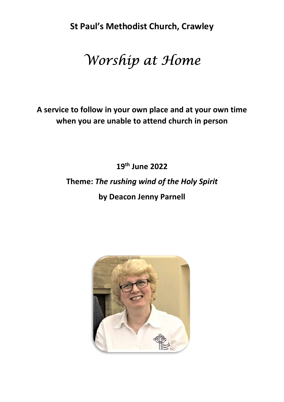St Paul's Methodist Church, Crawley

# Worship at Home

A service to follow in your own place and at your own time when you are unable to attend church in person

> 19th June 2022 Theme: The rushing wind of the Holy Spirit by Deacon Jenny Parnell

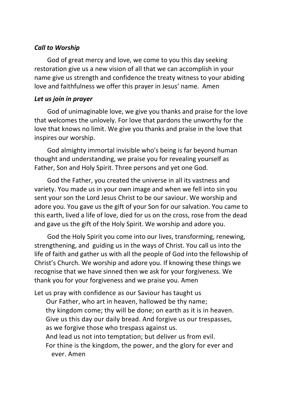### Call to Worship

 God of great mercy and love, we come to you this day seeking restoration give us a new vision of all that we can accomplish in your name give us strength and confidence the treaty witness to your abiding love and faithfulness we offer this prayer in Jesus' name. Amen

### Let us join in prayer

 God of unimaginable love, we give you thanks and praise for the love that welcomes the unlovely. For love that pardons the unworthy for the love that knows no limit. We give you thanks and praise in the love that inspires our worship.

 God almighty immortal invisible who's being is far beyond human thought and understanding, we praise you for revealing yourself as Father, Son and Holy Spirit. Three persons and yet one God.

 God the Father, you created the universe in all its vastness and variety. You made us in your own image and when we fell into sin you sent your son the Lord Jesus Christ to be our saviour. We worship and adore you. You gave us the gift of your Son for our salvation. You came to this earth, lived a life of love, died for us on the cross, rose from the dead and gave us the gift of the Holy Spirit. We worship and adore you.

 God the Holy Spirit you come into our lives, transforming, renewing, strengthening, and guiding us in the ways of Christ. You call us into the life of faith and gather us with all the people of God into the fellowship of Christ's Church. We worship and adore you. If knowing these things we recognise that we have sinned then we ask for your forgiveness. We thank you for your forgiveness and we praise you. Amen

Let us pray with confidence as our Saviour has taught us Our Father, who art in heaven, hallowed be thy name; thy kingdom come; thy will be done; on earth as it is in heaven. Give us this day our daily bread. And forgive us our trespasses, as we forgive those who trespass against us. And lead us not into temptation; but deliver us from evil. For thine is the kingdom, the power, and the glory for ever and ever. Amen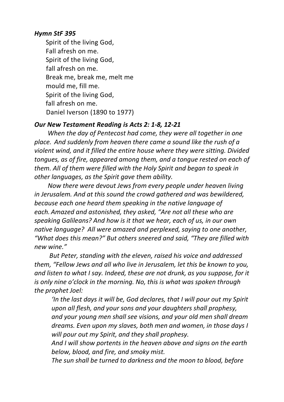#### Hymn StF 395

Spirit of the living God, Fall afresh on me. Spirit of the living God, fall afresh on me. Break me, break me, melt me mould me, fill me. Spirit of the living God, fall afresh on me. Daniel Iverson (1890 to 1977)

#### Our New Testament Reading is Acts 2: 1-8, 12-21

 When the day of Pentecost had come, they were all together in one place. And suddenly from heaven there came a sound like the rush of a violent wind, and it filled the entire house where they were sitting. Divided tongues, as of fire, appeared among them, and a tongue rested on each of them. All of them were filled with the Holy Spirit and began to speak in other languages, as the Spirit gave them ability.

 Now there were devout Jews from every people under heaven living in Jerusalem. And at this sound the crowd gathered and was bewildered, because each one heard them speaking in the native language of each. Amazed and astonished, they asked, "Are not all these who are speaking Galileans? And how is it that we hear, each of us, in our own native language? All were amazed and perplexed, saying to one another, "What does this mean?" But others sneered and said, "They are filled with new wine."

 But Peter, standing with the eleven, raised his voice and addressed them, "Fellow Jews and all who live in Jerusalem, let this be known to you, and listen to what I say. Indeed, these are not drunk, as you suppose, for it is only nine o'clock in the morning. No, this is what was spoken through the prophet Joel:

'In the last days it will be, God declares, that I will pour out my Spirit upon all flesh, and your sons and your daughters shall prophesy, and your young men shall see visions, and your old men shall dream dreams. Even upon my slaves, both men and women, in those days I will pour out my Spirit, and they shall prophesy.

And I will show portents in the heaven above and signs on the earth below, blood, and fire, and smoky mist.

The sun shall be turned to darkness and the moon to blood, before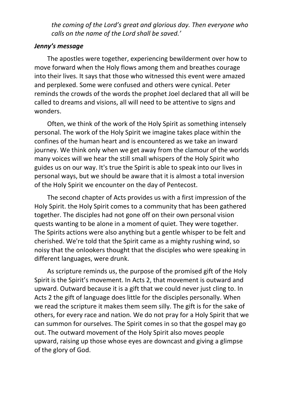the coming of the Lord's great and glorious day. Then everyone who calls on the name of the Lord shall be saved.'

#### Jenny's message

 The apostles were together, experiencing bewilderment over how to move forward when the Holy flows among them and breathes courage into their lives. It says that those who witnessed this event were amazed and perplexed. Some were confused and others were cynical. Peter reminds the crowds of the words the prophet Joel declared that all will be called to dreams and visions, all will need to be attentive to signs and wonders.

 Often, we think of the work of the Holy Spirit as something intensely personal. The work of the Holy Spirit we imagine takes place within the confines of the human heart and is encountered as we take an inward journey. We think only when we get away from the clamour of the worlds many voices will we hear the still small whispers of the Holy Spirit who guides us on our way. It's true the Spirit is able to speak into our lives in personal ways, but we should be aware that it is almost a total inversion of the Holy Spirit we encounter on the day of Pentecost.

 The second chapter of Acts provides us with a first impression of the Holy Spirit. the Holy Spirit comes to a community that has been gathered together. The disciples had not gone off on their own personal vision quests wanting to be alone in a moment of quiet. They were together. The Spirits actions were also anything but a gentle whisper to be felt and cherished. We're told that the Spirit came as a mighty rushing wind, so noisy that the onlookers thought that the disciples who were speaking in different languages, were drunk.

 As scripture reminds us, the purpose of the promised gift of the Holy Spirit is the Spirit's movement. In Acts 2, that movement is outward and upward. Outward because it is a gift that we could never just cling to. In Acts 2 the gift of language does little for the disciples personally. When we read the scripture it makes them seem silly. The gift is for the sake of others, for every race and nation. We do not pray for a Holy Spirit that we can summon for ourselves. The Spirit comes in so that the gospel may go out. The outward movement of the Holy Spirit also moves people upward, raising up those whose eyes are downcast and giving a glimpse of the glory of God.